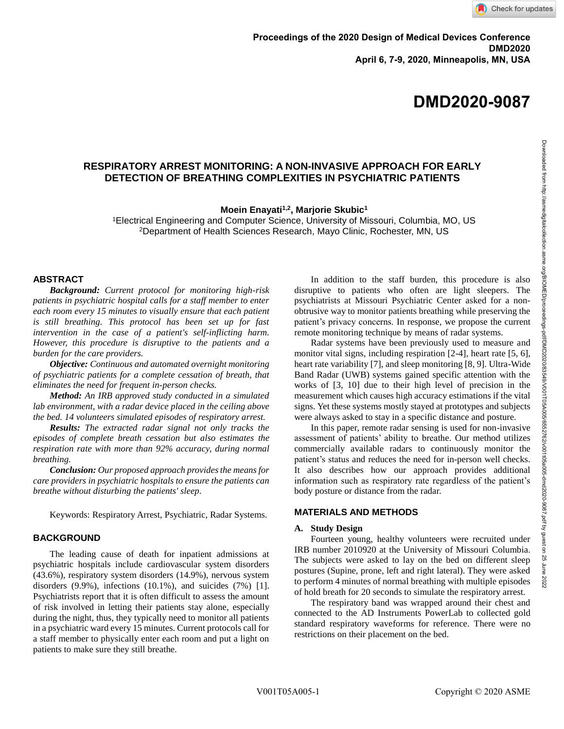**DMD2020-9087**

# **RESPIRATORY ARREST MONITORING: A NON-INVASIVE APPROACH FOR EARLY DETECTION OF BREATHING COMPLEXITIES IN PSYCHIATRIC PATIENTS**

**Moein Enayati1,2, Marjorie Skubic<sup>1</sup>**

<sup>1</sup>Electrical Engineering and Computer Science, University of Missouri, Columbia, MO, US <sup>2</sup>Department of Health Sciences Research, Mayo Clinic, Rochester, MN, US

### **ABSTRACT**

*Background: Current protocol for monitoring high-risk patients in psychiatric hospital calls for a staff member to enter each room every 15 minutes to visually ensure that each patient is still breathing. This protocol has been set up for fast intervention in the case of a patient's self-inflicting harm. However, this procedure is disruptive to the patients and a burden for the care providers.*

*Objective: Continuous and automated overnight monitoring of psychiatric patients for a complete cessation of breath, that eliminates the need for frequent in-person checks.* 

*Method: An IRB approved study conducted in a simulated lab environment, with a radar device placed in the ceiling above the bed. 14 volunteers simulated episodes of respiratory arrest.*

*Results: The extracted radar signal not only tracks the episodes of complete breath cessation but also estimates the respiration rate with more than 92% accuracy, during normal breathing.*

*Conclusion: Our proposed approach provides the means for care providers in psychiatric hospitals to ensure the patients can breathe without disturbing the patients' sleep.*

Keywords: Respiratory Arrest, Psychiatric, Radar Systems.

# **BACKGROUND**

The leading cause of death for inpatient admissions at psychiatric hospitals include cardiovascular system disorders (43.6%), respiratory system disorders (14.9%), nervous system disorders  $(9.9\%)$ , infections  $(10.1\%)$ , and suicides  $(7\%)$  [1]. Psychiatrists report that it is often difficult to assess the amount of risk involved in letting their patients stay alone, especially during the night, thus, they typically need to monitor all patients in a psychiatric ward every 15 minutes. Current protocols call for a staff member to physically enter each room and put a light on patients to make sure they still breathe.

In addition to the staff burden, this procedure is also disruptive to patients who often are light sleepers. The psychiatrists at Missouri Psychiatric Center asked for a nonobtrusive way to monitor patients breathing while preserving the patient's privacy concerns. In response, we propose the current remote monitoring technique by means of radar systems.

Radar systems have been previously used to measure and monitor vital signs, including respiration [2-4], heart rate [5, 6], heart rate variability [7], and sleep monitoring [8, 9]. Ultra-Wide Band Radar (UWB) systems gained specific attention with the works of [3, 10] due to their high level of precision in the measurement which causes high accuracy estimations if the vital signs. Yet these systems mostly stayed at prototypes and subjects were always asked to stay in a specific distance and posture.

In this paper, remote radar sensing is used for non-invasive assessment of patients' ability to breathe. Our method utilizes commercially available radars to continuously monitor the patient's status and reduces the need for in-person well checks. It also describes how our approach provides additional information such as respiratory rate regardless of the patient's body posture or distance from the radar.

# **MATERIALS AND METHODS**

### **A. Study Design**

Fourteen young, healthy volunteers were recruited under IRB number 2010920 at the University of Missouri Columbia. The subjects were asked to lay on the bed on different sleep postures (Supine, prone, left and right lateral). They were asked to perform 4 minutes of normal breathing with multiple episodes of hold breath for 20 seconds to simulate the respiratory arrest.

The respiratory band was wrapped around their chest and connected to the AD Instruments PowerLab to collected gold standard respiratory waveforms for reference. There were no restrictions on their placement on the bed.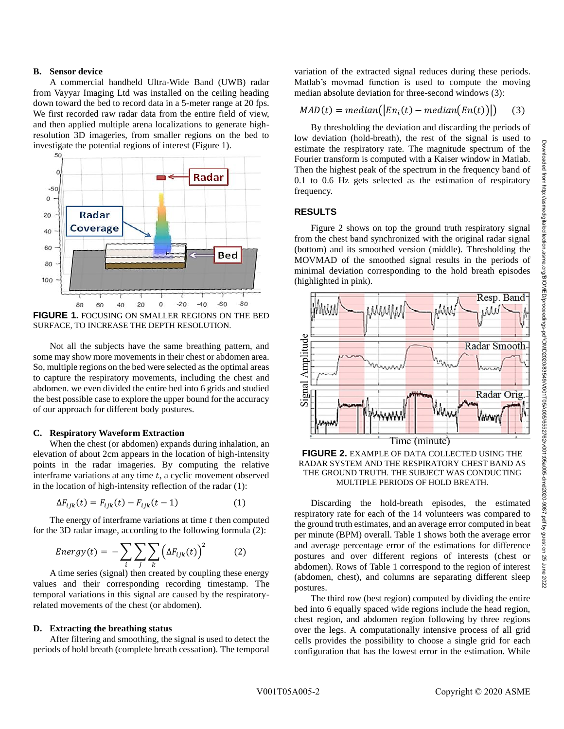2022

### **B. Sensor device**

A commercial handheld Ultra-Wide Band (UWB) radar from Vayyar Imaging Ltd was installed on the ceiling heading down toward the bed to record data in a 5-meter range at 20 fps. We first recorded raw radar data from the entire field of view, and then applied multiple arena localizations to generate highresolution 3D imageries, from smaller regions on the bed to investigate the potential regions of interest (Figure 1).



SURFACE, TO INCREASE THE DEPTH RESOLUTION.

Not all the subjects have the same breathing pattern, and some may show more movements in their chest or abdomen area. So, multiple regions on the bed were selected as the optimal areas to capture the respiratory movements, including the chest and abdomen. we even divided the entire bed into 6 grids and studied the best possible case to explore the upper bound for the accuracy of our approach for different body postures.

### **C. Respiratory Waveform Extraction**

When the chest (or abdomen) expands during inhalation, an elevation of about 2cm appears in the location of high-intensity points in the radar imageries. By computing the relative interframe variations at any time  $t$ , a cyclic movement observed in the location of high-intensity reflection of the radar (1):

$$
\Delta F_{ijk}(t) = F_{ijk}(t) - F_{ijk}(t-1) \tag{1}
$$

The energy of interframe variations at time  $t$  then computed for the 3D radar image, according to the following formula (2):

$$
Energy(t) = -\sum_{i} \sum_{j} \sum_{k} \left(\Delta F_{ijk}(t)\right)^2 \tag{2}
$$

A time series (signal) then created by coupling these energy values and their corresponding recording timestamp. The temporal variations in this signal are caused by the respiratoryrelated movements of the chest (or abdomen).

#### **D. Extracting the breathing status**

After filtering and smoothing, the signal is used to detect the periods of hold breath (complete breath cessation). The temporal

variation of the extracted signal reduces during these periods. Matlab's movmad function is used to compute the moving median absolute deviation for three-second windows (3):

$$
MAD(t) = median([Eni(t) - median(En(t))])
$$
 (3)

By thresholding the deviation and discarding the periods of low deviation (hold-breath), the rest of the signal is used to estimate the respiratory rate. The magnitude spectrum of the Fourier transform is computed with a Kaiser window in Matlab. Then the highest peak of the spectrum in the frequency band of 0.1 to 0.6 Hz gets selected as the estimation of respiratory frequency.

# **RESULTS**

Figure 2 shows on top the ground truth respiratory signal from the chest band synchronized with the original radar signal (bottom) and its smoothed version (middle). Thresholding the MOVMAD of the smoothed signal results in the periods of minimal deviation corresponding to the hold breath episodes (highlighted in pink).



# **FIGURE 2.** EXAMPLE OF DATA COLLECTED USING THE RADAR SYSTEM AND THE RESPIRATORY CHEST BAND AS THE GROUND TRUTH. THE SUBJECT WAS CONDUCTING MULTIPLE PERIODS OF HOLD BREATH.

Discarding the hold-breath episodes, the estimated respiratory rate for each of the 14 volunteers was compared to the ground truth estimates, and an average error computed in beat per minute (BPM) overall. Table 1 shows both the average error and average percentage error of the estimations for difference postures and over different regions of interests (chest or abdomen). Rows of Table 1 correspond to the region of interest (abdomen, chest), and columns are separating different sleep postures.

The third row (best region) computed by dividing the entire bed into 6 equally spaced wide regions include the head region, chest region, and abdomen region following by three regions over the legs. A computationally intensive process of all grid cells provides the possibility to choose a single grid for each configuration that has the lowest error in the estimation. While